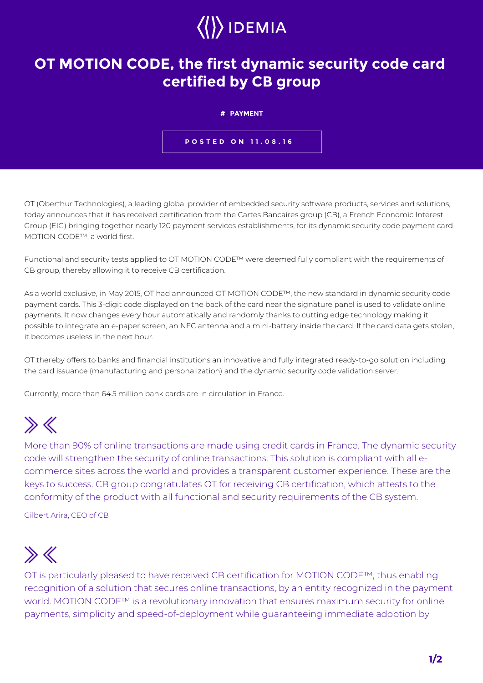

## **OT MOTION CODE, the first dynamic security code card certified by CB group**

**# PAYMENT**

**POSTED ON 11.08.16**

OT (Oberthur Technologies), a leading global provider of embedded security software products, services and solutions, today announces that it has received certification from the Cartes Bancaires group (CB), a French Economic Interest Group (EIG) bringing together nearly 120 payment services establishments, for its dynamic security code payment card MOTION CODE™, a world first.

Functional and security tests applied to OT MOTION CODE™ were deemed fully compliant with the requirements of CB group, thereby allowing it to receive CB certification.

As a world exclusive, in May 2015, OT had announced OT MOTION CODE™, the new standard in dynamic security code payment cards. This 3-digit code displayed on the back of the card near the signature panel is used to validate online payments. It now changes every hour automatically and randomly thanks to cutting edge technology making it possible to integrate an e-paper screen, an NFC antenna and a mini-battery inside the card. If the card data gets stolen, it becomes useless in the next hour.

OT thereby offers to banks and financial institutions an innovative and fully integrated ready-to-go solution including the card issuance (manufacturing and personalization) and the dynamic security code validation server.

Currently, more than 64.5 million bank cards are in circulation in France.

## $\gg K$

More than 90% of online transactions are made using credit cards in France. The dynamic security code will strengthen the security of online transactions. This solution is compliant with all ecommerce sites across the world and provides a transparent customer experience. These are the keys to success. CB group congratulates OT for receiving CB certification, which attests to the conformity of the product with all functional and security requirements of the CB system.

Gilbert Arira, CEO of CB

## $\gg K$

OT is particularly pleased to have received CB certification for MOTION CODE™, thus enabling recognition of a solution that secures online transactions, by an entity recognized in the payment world. MOTION CODE<sup>™</sup> is a revolutionary innovation that ensures maximum security for online payments, simplicity and speed-of-deployment while guaranteeing immediate adoption by